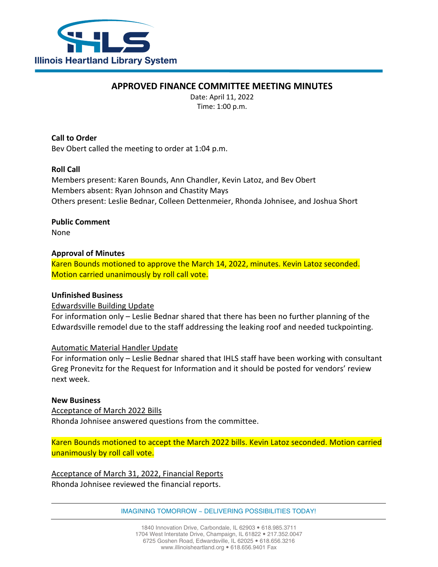

# **APPROVED FINANCE COMMITTEE MEETING MINUTES**

Date: April 11, 2022 Time: 1:00 p.m.

**Call to Order** Bev Obert called the meeting to order at 1:04 p.m.

# **Roll Call**

Members present: Karen Bounds, Ann Chandler, Kevin Latoz, and Bev Obert Members absent: Ryan Johnson and Chastity Mays Others present: Leslie Bednar, Colleen Dettenmeier, Rhonda Johnisee, and Joshua Short

# **Public Comment**

None

# **Approval of Minutes**

Karen Bounds motioned to approve the March 14, 2022, minutes. Kevin Latoz seconded. Motion carried unanimously by roll call vote.

# **Unfinished Business**

## Edwardsville Building Update

For information only – Leslie Bednar shared that there has been no further planning of the Edwardsville remodel due to the staff addressing the leaking roof and needed tuckpointing.

## Automatic Material Handler Update

For information only – Leslie Bednar shared that IHLS staff have been working with consultant Greg Pronevitz for the Request for Information and it should be posted for vendors' review next week.

## **New Business**

Acceptance of March 2022 Bills Rhonda Johnisee answered questions from the committee.

Karen Bounds motioned to accept the March 2022 bills. Kevin Latoz seconded. Motion carried unanimously by roll call vote.

Acceptance of March 31, 2022, Financial Reports Rhonda Johnisee reviewed the financial reports.

IMAGINING TOMORROW ~ DELIVERING POSSIBILITIES TODAY!